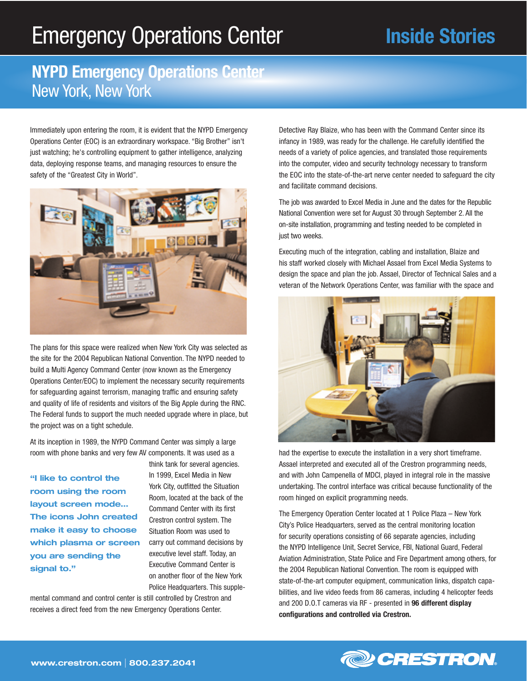## Emergency Operations Center

## **Inside Stories**

## **NYPD Emergency Operations Center** New York, New York

Immediately upon entering the room, it is evident that the NYPD Emergency Operations Center (EOC) is an extraordinary workspace. "Big Brother" isn't just watching; he's controlling equipment to gather intelligence, analyzing data, deploying response teams, and managing resources to ensure the safety of the "Greatest City in World".



The plans for this space were realized when New York City was selected as the site for the 2004 Republican National Convention. The NYPD needed to build a Multi Agency Command Center (now known as the Emergency Operations Center/EOC) to implement the necessary security requirements for safeguarding against terrorism, managing traffic and ensuring safety and quality of life of residents and visitors of the Big Apple during the RNC. The Federal funds to support the much needed upgrade where in place, but the project was on a tight schedule.

At its inception in 1989, the NYPD Command Center was simply a large room with phone banks and very few AV components. It was used as a

**"I like to control the room using the room layout screen mode… The icons John created make it easy to choose which plasma or screen you are sending the signal to."**

think tank for several agencies. In 1999, Excel Media in New York City, outfitted the Situation Room, located at the back of the Command Center with its first Crestron control system. The Situation Room was used to carry out command decisions by executive level staff. Today, an Executive Command Center is on another floor of the New York Police Headquarters. This supple-

mental command and control center is still controlled by Crestron and receives a direct feed from the new Emergency Operations Center.

Detective Ray Blaize, who has been with the Command Center since its infancy in 1989, was ready for the challenge. He carefully identified the needs of a variety of police agencies, and translated those requirements into the computer, video and security technology necessary to transform the EOC into the state-of-the-art nerve center needed to safeguard the city and facilitate command decisions.

The job was awarded to Excel Media in June and the dates for the Republic National Convention were set for August 30 through September 2. All the on-site installation, programming and testing needed to be completed in just two weeks.

Executing much of the integration, cabling and installation, Blaize and his staff worked closely with Michael Assael from Excel Media Systems to design the space and plan the job. Assael, Director of Technical Sales and a veteran of the Network Operations Center, was familiar with the space and



had the expertise to execute the installation in a very short timeframe. Assael interpreted and executed all of the Crestron programming needs, and with John Campenella of MDCI, played in integral role in the massive undertaking. The control interface was critical because functionality of the room hinged on explicit programming needs.

The Emergency Operation Center located at 1 Police Plaza – New York City's Police Headquarters, served as the central monitoring location for security operations consisting of 66 separate agencies, including the NYPD Intelligence Unit, Secret Service, FBI, National Guard, Federal Aviation Administration, State Police and Fire Department among others, for the 2004 Republican National Convention. The room is equipped with state-of-the-art computer equipment, communication links, dispatch capabilities, and live video feeds from 86 cameras, including 4 helicopter feeds and 200 D.O.T cameras via RF - presented in **96 different display configurations and controlled via Crestron.**